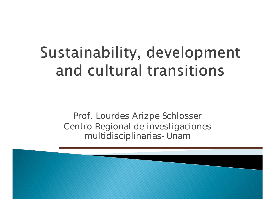## Sustainability, development and cultural transitions

Prof. Lourdes Arizpe Schlosser Centro Regional de investigaciones multidisciplinarias-Unam

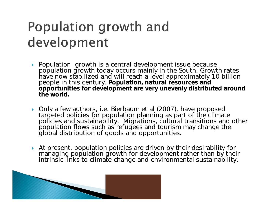### Population growth and development

- ▶ Population growth is a central development issue because population growth today occurs mainly in the South. Growth rates have now stabilized and will reach a level approximately 10 billion people in this century. **Population, natural resources and opportunities for development are very unevenly distributed around the world.**
- ▶ Only a few authors, i.e. Bierbaum et al (2007), have proposed targeted policies for population planning as part of the climate policies and sustainability. Migrations, cultural transitions and other population flows such as refugees and tourism may change the global distribution of goods and opportunities.
- At present, population policies are driven by their desirability for managing population growth for development rather than by their intrinsic links to climate change and environmental sustainability.

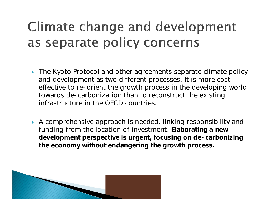### **Climate change and development** as separate policy concerns

- ▶ The Kyoto Protocol and other agreements separate climate policy and development as two different processes. It is more cost effective to re-orient the growth process in the developing world towards de-carbonization than to reconstruct the existing infrastructure in the OECD countries.
- A comprehensive approach is needed, linking responsibility and funding from the location of investment. **Elaborating a new development perspective is urgent, focusing on de-carbonizing the economy without endangering the growth process.**

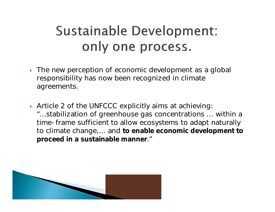### **Sustainable Development:** only one process.

- The new perception of economic development as a global responsibility has now been recognized in climate agreements.
- Article 2 of the UNFCCC explicitly aims at achieving: "…stabilization of greenhouse gas concentrations … within a time-frame sufficient to allow ecosystems to adapt naturally to climate change,… and **to enable economic development to proceed in a sustainable manner**."

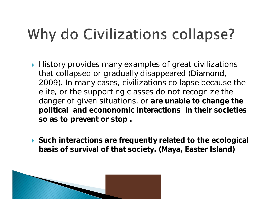# Why do Civilizations collapse?

- $\blacktriangleright$  History provides many examples of great civilizations that collapsed or gradually disappeared (Diamond, 2009). In many cases, civilizations collapse because the elite, or the supporting classes do not recognize the danger of given situations, or **are unable to change the political and econonomic interactions in their societies so as to prevent or stop .**
- **Such interactions are frequently related to the ecological basis of survival of that society. (Maya, Easter Island)**

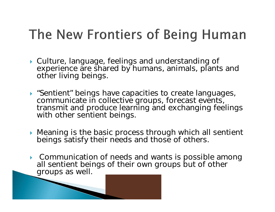### The New Frontiers of Being Human

- Culture, language, feelings and understanding of experience are shared by humans, animals, plants and other living beings.
- "Sentient" beings have capacities to create languages, communicate in collective groups, forecast events, transmit and produce learning and exchanging feelings with other sentient beings.
- **Meaning is the basic process through which all sentient** beings satisfy their needs and those of others.
- Communication of needs and wants is possible among all sentient beings of their own groups but of other groups as well.

**MARCON**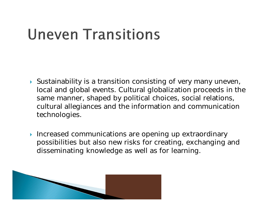### **Uneven Transitions**

- Sustainability is a transition consisting of very many uneven, local and global events. Cultural globalization proceeds in the same manner, shaped by political choices, social relations, cultural allegiances and the information and communication technologies.
- Increased communications are opening up extraordinary possibilities but also new risks for creating, exchanging and disseminating knowledge as well as for learning.

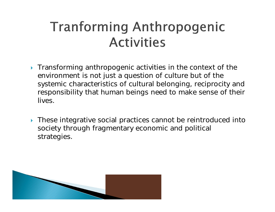#### **Tranforming Anthropogenic Activities**

- Transforming anthropogenic activities in the context of the environment is not just a question of culture but of the systemic characteristics of cultural belonging, reciprocity and responsibility that human beings need to make sense of their lives.
- ▶ These integrative social practices cannot be reintroduced into society through fragmentary economic and political strategies.

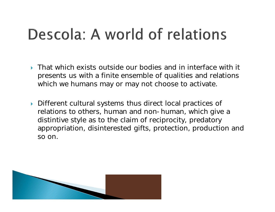### Descola: A world of relations

- **That which exists outside our bodies and in interface with it** presents us with a finite ensemble of qualities and relations which we humans may or may not choose to activate.
- Different cultural systems thus direct local practices of relations to others, human and non-human, which give a distintive style as to the claim of reciprocity, predatory appropriation, disinterested gifts, protection, production and so on.

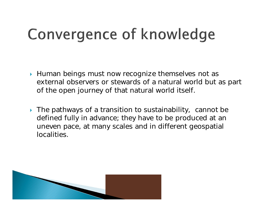## Convergence of knowledge

- ▶ Human beings must now recognize themselves not as external observers or stewards of a natural world but as part of the open journey of that natural world itself.
- ▶ The pathways of a transition to sustainability, cannot be defined fully in advance; they have to be produced at an uneven pace, at many scales and in different geospatial localities.

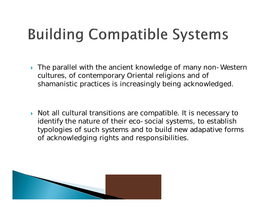# **Building Compatible Systems**

▶ The parallel with the ancient knowledge of many non-Western cultures, of contemporary Oriental religions and of shamanistic practices is increasingly being acknowledged.

▶ Not all cultural transitions are compatible. It is necessary to identify the nature of their eco-social systems, to establish typologies of such systems and to build new adapative forms of acknowledging rights and responsibilities.